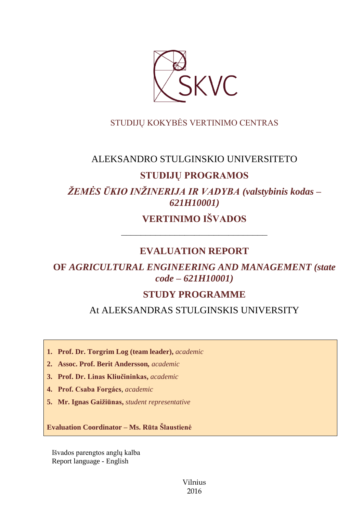

# STUDIJŲ KOKYBĖS VERTINIMO CENTRAS

# ALEKSANDRO STULGINSKIO UNIVERSITETO

# **STUDIJŲ PROGRAMOS**

*ŽEMĖS ŪKIO INŽINERIJA IR VADYBA (valstybinis kodas – 621H10001)*

**VERTINIMO IŠVADOS**

––––––––––––––––––––––––––––––

# **EVALUATION REPORT**

# **OF** *AGRICULTURAL ENGINEERING AND MANAGEMENT (state code – 621H10001)*

# **STUDY PROGRAMME**

At ALEKSANDRAS STULGINSKIS UNIVERSITY

**1. Prof. Dr. Torgrim Log (team leader),** *academic*

**2. Assoc. Prof. Berit Andersson***, academic*

**3. Prof. Dr. Linas Kliučininkas,** *academic*

**4. Prof. Csaba Forgács**, *academic*

**5. Mr. Ignas Gaižiūnas,** *student representative*

**Evaluation Coordinator – Ms. Rūta Šlaustienė**

Išvados parengtos anglų kalba Report language - English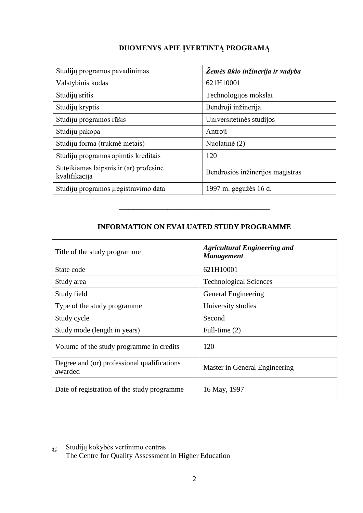# **DUOMENYS APIE ĮVERTINTĄ PROGRAMĄ**

| Studijų programos pavadinimas                           | Žemės ūkio inžinerija ir vadyba  |
|---------------------------------------------------------|----------------------------------|
| Valstybinis kodas                                       | 621H10001                        |
| Studijų sritis                                          | Technologijos mokslai            |
| Studijų kryptis                                         | Bendroji inžinerija              |
| Studijų programos rūšis                                 | Universitetinės studijos         |
| Studijų pakopa                                          | Antroji                          |
| Studijų forma (trukmė metais)                           | Nuolatinė (2)                    |
| Studijų programos apimtis kreditais                     | 120                              |
| Suteikiamas laipsnis ir (ar) profesinė<br>kvalifikacija | Bendrosios inžinerijos magistras |
| Studijų programos įregistravimo data                    | 1997 m. gegužės 16 d.            |

# **INFORMATION ON EVALUATED STUDY PROGRAMME**

–––––––––––––––––––––––––––––––

| Title of the study programme.                          | <b>Agricultural Engineering and</b><br><b>Management</b> |
|--------------------------------------------------------|----------------------------------------------------------|
| State code                                             | 621H10001                                                |
| Study area                                             | <b>Technological Sciences</b>                            |
| Study field                                            | General Engineering                                      |
| Type of the study programme                            | University studies                                       |
| Study cycle                                            | Second                                                   |
| Study mode (length in years)                           | Full-time (2)                                            |
| Volume of the study programme in credits               | 120                                                      |
| Degree and (or) professional qualifications<br>awarded | Master in General Engineering                            |
| Date of registration of the study programme            | 16 May, 1997                                             |

© Studijų kokybės vertinimo centras

The Centre for Quality Assessment in Higher Education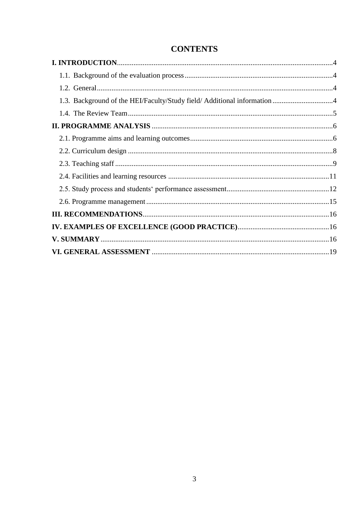# **CONTENTS**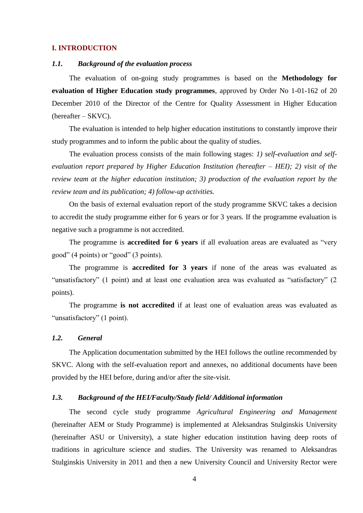### <span id="page-3-1"></span><span id="page-3-0"></span>**I. INTRODUCTION**

## *1.1. Background of the evaluation process*

The evaluation of on-going study programmes is based on the **Methodology for evaluation of Higher Education study programmes**, approved by Order No 1-01-162 of 20 December 2010 of the Director of the Centre for Quality Assessment in Higher Education (hereafter – SKVC).

The evaluation is intended to help higher education institutions to constantly improve their study programmes and to inform the public about the quality of studies.

The evaluation process consists of the main following stages: *1) self-evaluation and selfevaluation report prepared by Higher Education Institution (hereafter – HEI); 2) visit of the review team at the higher education institution; 3) production of the evaluation report by the review team and its publication; 4) follow-up activities.* 

On the basis of external evaluation report of the study programme SKVC takes a decision to accredit the study programme either for 6 years or for 3 years. If the programme evaluation is negative such a programme is not accredited.

The programme is **accredited for 6 years** if all evaluation areas are evaluated as "very good" (4 points) or "good" (3 points).

The programme is **accredited for 3 years** if none of the areas was evaluated as "unsatisfactory" (1 point) and at least one evaluation area was evaluated as "satisfactory" (2 points).

The programme **is not accredited** if at least one of evaluation areas was evaluated as "unsatisfactory" (1 point).

## <span id="page-3-2"></span>*1.2. General*

The Application documentation submitted by the HEI follows the outline recommended by SKVC. Along with the self-evaluation report and annexes, no additional documents have been provided by the HEI before, during and/or after the site-visit.

### <span id="page-3-3"></span>*1.3. Background of the HEI/Faculty/Study field/ Additional information*

The second cycle study programme *Agricultural Engineering and Management* (hereinafter AEM or Study Programme) is implemented at Aleksandras Stulginskis University (hereinafter ASU or University), a state higher education institution having deep roots of traditions in agriculture science and studies. The University was renamed to Aleksandras Stulginskis University in 2011 and then a new University Council and University Rector were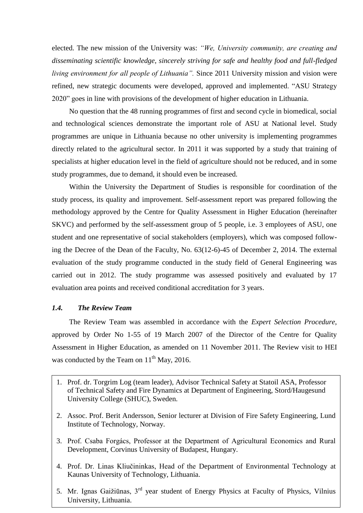elected. The new mission of the University was: *"We, University community, are creating and disseminating scientific knowledge, sincerely striving for safe and healthy food and full-fledged living environment for all people of Lithuania".* Since 2011 University mission and vision were refined, new strategic documents were developed, approved and implemented. "ASU Strategy 2020" goes in line with provisions of the development of higher education in Lithuania.

No question that the 48 running programmes of first and second cycle in biomedical, social and technological sciences demonstrate the important role of ASU at National level. Study programmes are unique in Lithuania because no other university is implementing programmes directly related to the agricultural sector. In 2011 it was supported by a study that training of specialists at higher education level in the field of agriculture should not be reduced, and in some study programmes, due to demand, it should even be increased.

Within the University the Department of Studies is responsible for coordination of the study process, its quality and improvement. Self-assessment report was prepared following the methodology approved by the Centre for Quality Assessment in Higher Education (hereinafter SKVC) and performed by the self-assessment group of 5 people, i.e. 3 employees of ASU, one student and one representative of social stakeholders (employers), which was composed following the Decree of the Dean of the Faculty, No. 63(12-6)-45 of December 2, 2014. The external evaluation of the study programme conducted in the study field of General Engineering was carried out in 2012. The study programme was assessed positively and evaluated by 17 evaluation area points and received conditional accreditation for 3 years.

## <span id="page-4-0"></span>*1.4. The Review Team*

The Review Team was assembled in accordance with the *Expert Selection Procedure*, approved by Order No 1-55 of 19 March 2007 of the Director of the Centre for Quality Assessment in Higher Education, as amended on 11 November 2011. The Review visit to HEI was conducted by the Team on  $11<sup>th</sup>$  May, 2016.

- 1. Prof. dr. Torgrim Log (team leader), Advisor Technical Safety at Statoil ASA, Professor of Technical Safety and Fire Dynamics at Department of Engineering, Stord/Haugesund University College (SHUC), Sweden.
- 2. Assoc. Prof. Berit Andersson, Senior lecturer at Division of Fire Safety Engineering, Lund Institute of Technology, Norway.
- 3. Prof. Csaba Forgács, Professor at the Department of Agricultural Economics and Rural Development, Corvinus University of Budapest, Hungary.
- 5 Kaunas University of Technology, Lithuania. 4. Prof. Dr. Linas Kliučininkas, Head of the Department of Environmental Technology at
- 5. Mr. Ignas Gaižiūnas, 3rd year student of Energy Physics at Faculty of Physics, Vilnius University, Lithuania.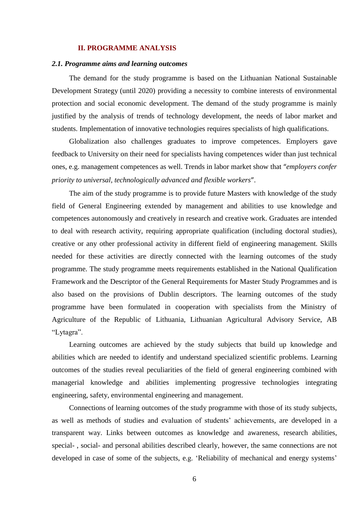### <span id="page-5-0"></span>**II. PROGRAMME ANALYSIS**

### <span id="page-5-1"></span>*2.1. Programme aims and learning outcomes*

The demand for the study programme is based on the Lithuanian National Sustainable Development Strategy (until 2020) providing a necessity to combine interests of environmental protection and social economic development. The demand of the study programme is mainly justified by the analysis of trends of technology development, the needs of labor market and students. Implementation of innovative technologies requires specialists of high qualifications.

Globalization also challenges graduates to improve competences. Employers gave feedback to University on their need for specialists having competences wider than just technical ones, e.g. management competences as well. Trends in labor market show that "*employers confer priority to universal, technologically advanced and flexible workers*".

The aim of the study programme is to provide future Masters with knowledge of the study field of General Engineering extended by management and abilities to use knowledge and competences autonomously and creatively in research and creative work. Graduates are intended to deal with research activity, requiring appropriate qualification (including doctoral studies), creative or any other professional activity in different field of engineering management. Skills needed for these activities are directly connected with the learning outcomes of the study programme. The study programme meets requirements established in the National Qualification Framework and the Descriptor of the General Requirements for Master Study Programmes and is also based on the provisions of Dublin descriptors. The learning outcomes of the study programme have been formulated in cooperation with specialists from the Ministry of Agriculture of the Republic of Lithuania, Lithuanian Agricultural Advisory Service, AB "Lytagra".

Learning outcomes are achieved by the study subjects that build up knowledge and abilities which are needed to identify and understand specialized scientific problems. Learning outcomes of the studies reveal peculiarities of the field of general engineering combined with managerial knowledge and abilities implementing progressive technologies integrating engineering, safety, environmental engineering and management.

Connections of learning outcomes of the study programme with those of its study subjects, as well as methods of studies and evaluation of students' achievements, are developed in a transparent way. Links between outcomes as knowledge and awareness, research abilities, special- , social- and personal abilities described clearly, however, the same connections are not developed in case of some of the subjects, e.g. 'Reliability of mechanical and energy systems'

6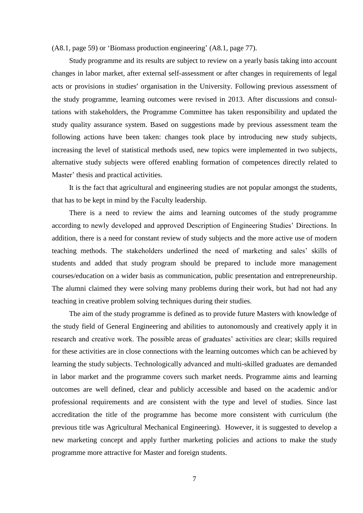(A8.1, page 59) or 'Biomass production engineering' (A8.1, page 77).

Study programme and its results are subject to review on a yearly basis taking into account changes in labor market, after external self-assessment or after changes in requirements of legal acts or provisions in studies' organisation in the University. Following previous assessment of the study programme, learning outcomes were revised in 2013. After discussions and consultations with stakeholders, the Programme Committee has taken responsibility and updated the study quality assurance system. Based on suggestions made by previous assessment team the following actions have been taken: changes took place by introducing new study subjects, increasing the level of statistical methods used, new topics were implemented in two subjects, alternative study subjects were offered enabling formation of competences directly related to Master' thesis and practical activities.

It is the fact that agricultural and engineering studies are not popular amongst the students, that has to be kept in mind by the Faculty leadership.

There is a need to review the aims and learning outcomes of the study programme according to newly developed and approved Description of Engineering Studies' Directions. In addition, there is a need for constant review of study subjects and the more active use of modern teaching methods. The stakeholders underlined the need of marketing and sales' skills of students and added that study program should be prepared to include more management courses/education on a wider basis as communication, public presentation and entrepreneurship. The alumni claimed they were solving many problems during their work, but had not had any teaching in creative problem solving techniques during their studies.

The aim of the study programme is defined as to provide future Masters with knowledge of the study field of General Engineering and abilities to autonomously and creatively apply it in research and creative work. The possible areas of graduates' activities are clear; skills required for these activities are in close connections with the learning outcomes which can be achieved by learning the study subjects. Technologically advanced and multi-skilled graduates are demanded in labor market and the programme covers such market needs. Programme aims and learning outcomes are well defined, clear and publicly accessible and based on the academic and/or professional requirements and are consistent with the type and level of studies. Since last accreditation the title of the programme has become more consistent with curriculum (the previous title was Agricultural Mechanical Engineering). However, it is suggested to develop a new marketing concept and apply further marketing policies and actions to make the study programme more attractive for Master and foreign students.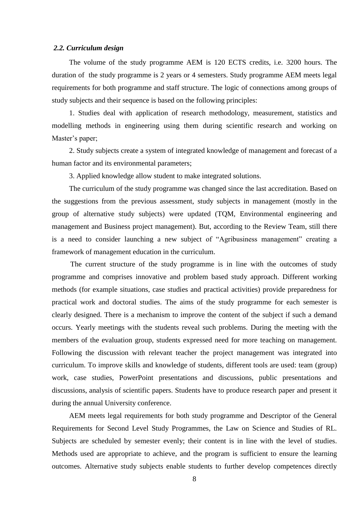#### <span id="page-7-0"></span>*2.2. Curriculum design*

The volume of the study programme AEM is 120 ECTS credits, i.e. 3200 hours. The duration of the study programme is 2 years or 4 semesters. Study programme AEM meets legal requirements for both programme and staff structure. The logic of connections among groups of study subjects and their sequence is based on the following principles:

1. Studies deal with application of research methodology, measurement, statistics and modelling methods in engineering using them during scientific research and working on Master's paper;

2. Study subjects create a system of integrated knowledge of management and forecast of a human factor and its environmental parameters;

3. Applied knowledge allow student to make integrated solutions.

The curriculum of the study programme was changed since the last accreditation. Based on the suggestions from the previous assessment, study subjects in management (mostly in the group of alternative study subjects) were updated (TQM, Environmental engineering and management and Business project management). But, according to the Review Team, still there is a need to consider launching a new subject of "Agribusiness management" creating a framework of management education in the curriculum.

The current structure of the study programme is in line with the outcomes of study programme and comprises innovative and problem based study approach. Different working methods (for example situations, case studies and practical activities) provide preparedness for practical work and doctoral studies. The aims of the study programme for each semester is clearly designed. There is a mechanism to improve the content of the subject if such a demand occurs. Yearly meetings with the students reveal such problems. During the meeting with the members of the evaluation group, students expressed need for more teaching on management. Following the discussion with relevant teacher the project management was integrated into curriculum. To improve skills and knowledge of students, different tools are used: team (group) work, case studies, PowerPoint presentations and discussions, public presentations and discussions, analysis of scientific papers. Students have to produce research paper and present it during the annual University conference.

AEM meets legal requirements for both study programme and Descriptor of the General Requirements for Second Level Study Programmes, the Law on Science and Studies of RL. Subjects are scheduled by semester evenly; their content is in line with the level of studies. Methods used are appropriate to achieve, and the program is sufficient to ensure the learning outcomes. Alternative study subjects enable students to further develop competences directly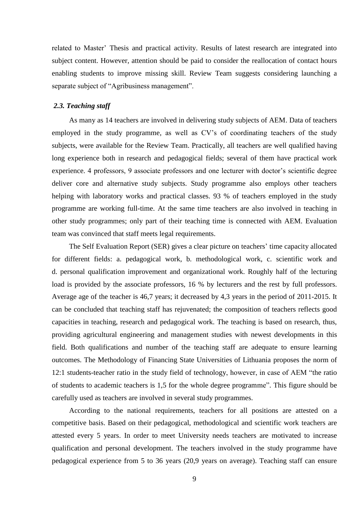related to Master' Thesis and practical activity. Results of latest research are integrated into subject content. However, attention should be paid to consider the reallocation of contact hours enabling students to improve missing skill. Review Team suggests considering launching a separate subject of "Agribusiness management".

#### <span id="page-8-0"></span>*2.3. Teaching staff*

As many as 14 teachers are involved in delivering study subjects of AEM. Data of teachers employed in the study programme, as well as CV's of coordinating teachers of the study subjects, were available for the Review Team. Practically, all teachers are well qualified having long experience both in research and pedagogical fields; several of them have practical work experience. 4 professors, 9 associate professors and one lecturer with doctor's scientific degree deliver core and alternative study subjects. Study programme also employs other teachers helping with laboratory works and practical classes. 93 % of teachers employed in the study programme are working full-time. At the same time teachers are also involved in teaching in other study programmes; only part of their teaching time is connected with AEM. Evaluation team was convinced that staff meets legal requirements.

The Self Evaluation Report (SER) gives a clear picture on teachers' time capacity allocated for different fields: a. pedagogical work, b. methodological work, c. scientific work and d. personal qualification improvement and organizational work. Roughly half of the lecturing load is provided by the associate professors, 16 % by lecturers and the rest by full professors. Average age of the teacher is 46,7 years; it decreased by 4,3 years in the period of 2011-2015. It can be concluded that teaching staff has rejuvenated; the composition of teachers reflects good capacities in teaching, research and pedagogical work. The teaching is based on research, thus, providing agricultural engineering and management studies with newest developments in this field. Both qualifications and number of the teaching staff are adequate to ensure learning outcomes. The Methodology of Financing State Universities of Lithuania proposes the norm of 12:1 students-teacher ratio in the study field of technology, however, in case of AEM "the ratio of students to academic teachers is 1,5 for the whole degree programme". This figure should be carefully used as teachers are involved in several study programmes.

According to the national requirements, teachers for all positions are attested on a competitive basis. Based on their pedagogical, methodological and scientific work teachers are attested every 5 years. In order to meet University needs teachers are motivated to increase qualification and personal development. The teachers involved in the study programme have pedagogical experience from 5 to 36 years (20,9 years on average). Teaching staff can ensure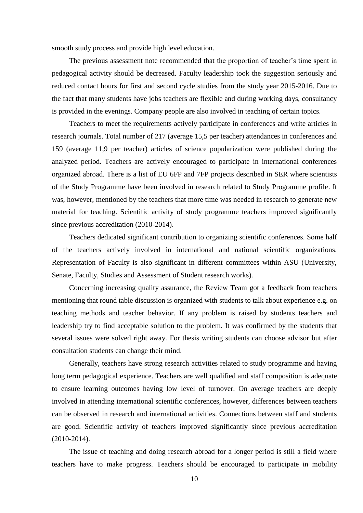smooth study process and provide high level education.

The previous assessment note recommended that the proportion of teacher's time spent in pedagogical activity should be decreased. Faculty leadership took the suggestion seriously and reduced contact hours for first and second cycle studies from the study year 2015-2016. Due to the fact that many students have jobs teachers are flexible and during working days, consultancy is provided in the evenings. Company people are also involved in teaching of certain topics.

Teachers to meet the requirements actively participate in conferences and write articles in research journals. Total number of 217 (average 15,5 per teacher) attendances in conferences and 159 (average 11,9 per teacher) articles of science popularization were published during the analyzed period. Teachers are actively encouraged to participate in international conferences organized abroad. There is a list of EU 6FP and 7FP projects described in SER where scientists of the Study Programme have been involved in research related to Study Programme profile. It was, however, mentioned by the teachers that more time was needed in research to generate new material for teaching. Scientific activity of study programme teachers improved significantly since previous accreditation (2010-2014).

Teachers dedicated significant contribution to organizing scientific conferences. Some half of the teachers actively involved in international and national scientific organizations. Representation of Faculty is also significant in different committees within ASU (University, Senate, Faculty, Studies and Assessment of Student research works).

Concerning increasing quality assurance, the Review Team got a feedback from teachers mentioning that round table discussion is organized with students to talk about experience e.g. on teaching methods and teacher behavior. If any problem is raised by students teachers and leadership try to find acceptable solution to the problem. It was confirmed by the students that several issues were solved right away. For thesis writing students can choose advisor but after consultation students can change their mind.

Generally, teachers have strong research activities related to study programme and having long term pedagogical experience. Teachers are well qualified and staff composition is adequate to ensure learning outcomes having low level of turnover. On average teachers are deeply involved in attending international scientific conferences, however, differences between teachers can be observed in research and international activities. Connections between staff and students are good. Scientific activity of teachers improved significantly since previous accreditation (2010-2014).

The issue of teaching and doing research abroad for a longer period is still a field where teachers have to make progress. Teachers should be encouraged to participate in mobility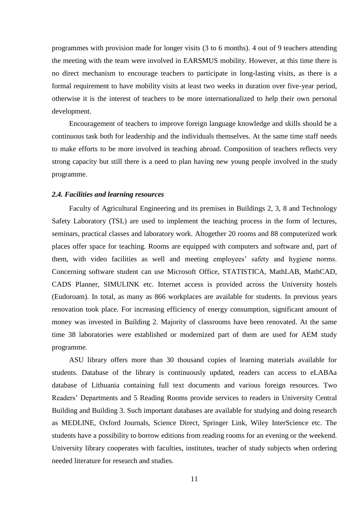programmes with provision made for longer visits (3 to 6 months). 4 out of 9 teachers attending the meeting with the team were involved in EARSMUS mobility. However, at this time there is no direct mechanism to encourage teachers to participate in long-lasting visits, as there is a formal requirement to have mobility visits at least two weeks in duration over five-year period, otherwise it is the interest of teachers to be more internationalized to help their own personal development.

Encouragement of teachers to improve foreign language knowledge and skills should be a continuous task both for leadership and the individuals themselves. At the same time staff needs to make efforts to be more involved in teaching abroad. Composition of teachers reflects very strong capacity but still there is a need to plan having new young people involved in the study programme.

#### <span id="page-10-0"></span>*2.4. Facilities and learning resources*

Faculty of Agricultural Engineering and its premises in Buildings 2, 3, 8 and Technology Safety Laboratory (TSL) are used to implement the teaching process in the form of lectures, seminars, practical classes and laboratory work. Altogether 20 rooms and 88 computerized work places offer space for teaching. Rooms are equipped with computers and software and, part of them, with video facilities as well and meeting employees' safety and hygiene norms. Concerning software student can use Microsoft Office, STATISTICA, MathLAB, MathCAD, CADS Planner, SIMULINK etc. Internet access is provided across the University hostels (Eudoroam). In total, as many as 866 workplaces are available for students. In previous years renovation took place. For increasing efficiency of energy consumption, significant amount of money was invested in Building 2. Majority of classrooms have been renovated. At the same time 38 laboratories were established or modernized part of them are used for AEM study programme.

ASU library offers more than 30 thousand copies of learning materials available for students. Database of the library is continuously updated, readers can access to eLABAa database of Lithuania containing full text documents and various foreign resources. Two Readers' Departments and 5 Reading Rooms provide services to readers in University Central Building and Building 3. Such important databases are available for studying and doing research as MEDLINE, Oxford Journals, Science Direct, Springer Link, Wiley InterScience etc. The students have a possibility to borrow editions from reading rooms for an evening or the weekend. University library cooperates with faculties, institutes, teacher of study subjects when ordering needed literature for research and studies.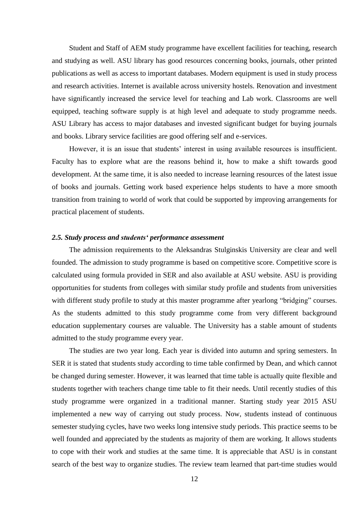Student and Staff of AEM study programme have excellent facilities for teaching, research and studying as well. ASU library has good resources concerning books, journals, other printed publications as well as access to important databases. Modern equipment is used in study process and research activities. Internet is available across university hostels. Renovation and investment have significantly increased the service level for teaching and Lab work. Classrooms are well equipped, teaching software supply is at high level and adequate to study programme needs. ASU Library has access to major databases and invested significant budget for buying journals and books. Library service facilities are good offering self and e-services.

However, it is an issue that students' interest in using available resources is insufficient. Faculty has to explore what are the reasons behind it, how to make a shift towards good development. At the same time, it is also needed to increase learning resources of the latest issue of books and journals. Getting work based experience helps students to have a more smooth transition from training to world of work that could be supported by improving arrangements for practical placement of students.

### <span id="page-11-0"></span>*2.5. Study process and students' performance assessment*

The admission requirements to the Aleksandras Stulginskis University are clear and well founded. The admission to study programme is based on competitive score. Competitive score is calculated using formula provided in SER and also available at ASU website. ASU is providing opportunities for students from colleges with similar study profile and students from universities with different study profile to study at this master programme after yearlong "bridging" courses. As the students admitted to this study programme come from very different background education supplementary courses are valuable. The University has a stable amount of students admitted to the study programme every year.

The studies are two year long. Each year is divided into autumn and spring semesters. In SER it is stated that students study according to time table confirmed by Dean, and which cannot be changed during semester. However, it was learned that time table is actually quite flexible and students together with teachers change time table to fit their needs. Until recently studies of this study programme were organized in a traditional manner. Starting study year 2015 ASU implemented a new way of carrying out study process. Now, students instead of continuous semester studying cycles, have two weeks long intensive study periods. This practice seems to be well founded and appreciated by the students as majority of them are working. It allows students to cope with their work and studies at the same time. It is appreciable that ASU is in constant search of the best way to organize studies. The review team learned that part-time studies would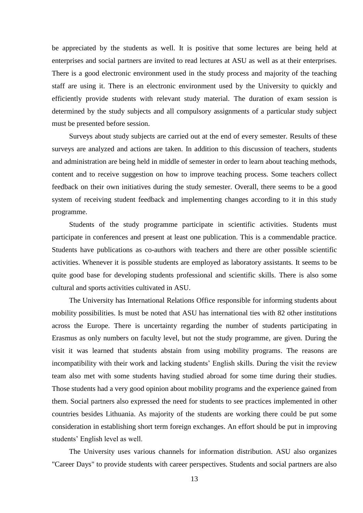be appreciated by the students as well. It is positive that some lectures are being held at enterprises and social partners are invited to read lectures at ASU as well as at their enterprises. There is a good electronic environment used in the study process and majority of the teaching staff are using it. There is an electronic environment used by the University to quickly and efficiently provide students with relevant study material. The duration of exam session is determined by the study subjects and all compulsory assignments of a particular study subject must be presented before session.

Surveys about study subjects are carried out at the end of every semester. Results of these surveys are analyzed and actions are taken. In addition to this discussion of teachers, students and administration are being held in middle of semester in order to learn about teaching methods, content and to receive suggestion on how to improve teaching process. Some teachers collect feedback on their own initiatives during the study semester. Overall, there seems to be a good system of receiving student feedback and implementing changes according to it in this study programme.

Students of the study programme participate in scientific activities. Students must participate in conferences and present at least one publication. This is a commendable practice. Students have publications as co-authors with teachers and there are other possible scientific activities. Whenever it is possible students are employed as laboratory assistants. It seems to be quite good base for developing students professional and scientific skills. There is also some cultural and sports activities cultivated in ASU.

The University has International Relations Office responsible for informing students about mobility possibilities. Is must be noted that ASU has international ties with 82 other institutions across the Europe. There is uncertainty regarding the number of students participating in Erasmus as only numbers on faculty level, but not the study programme, are given. During the visit it was learned that students abstain from using mobility programs. The reasons are incompatibility with their work and lacking students' English skills. During the visit the review team also met with some students having studied abroad for some time during their studies. Those students had a very good opinion about mobility programs and the experience gained from them. Social partners also expressed the need for students to see practices implemented in other countries besides Lithuania. As majority of the students are working there could be put some consideration in establishing short term foreign exchanges. An effort should be put in improving students' English level as well.

The University uses various channels for information distribution. ASU also organizes "Career Days" to provide students with career perspectives. Students and social partners are also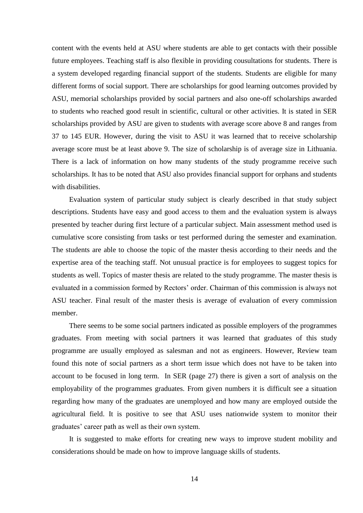content with the events held at ASU where students are able to get contacts with their possible future employees. Teaching staff is also flexible in providing cousultations for students. There is a system developed regarding financial support of the students. Students are eligible for many different forms of social support. There are scholarships for good learning outcomes provided by ASU, memorial scholarships provided by social partners and also one-off scholarships awarded to students who reached good result in scientific, cultural or other activities. It is stated in SER scholarships provided by ASU are given to students with average score above 8 and ranges from 37 to 145 EUR. However, during the visit to ASU it was learned that to receive scholarship average score must be at least above 9. The size of scholarship is of average size in Lithuania. There is a lack of information on how many students of the study programme receive such scholarships. It has to be noted that ASU also provides financial support for orphans and students with disabilities.

Evaluation system of particular study subject is clearly described in that study subject descriptions. Students have easy and good access to them and the evaluation system is always presented by teacher during first lecture of a particular subject. Main assessment method used is cumulative score consisting from tasks or test performed during the semester and examination. The students are able to choose the topic of the master thesis according to their needs and the expertise area of the teaching staff. Not unusual practice is for employees to suggest topics for students as well. Topics of master thesis are related to the study programme. The master thesis is evaluated in a commission formed by Rectors' order. Chairman of this commission is always not ASU teacher. Final result of the master thesis is average of evaluation of every commission member.

There seems to be some social partners indicated as possible employers of the programmes graduates. From meeting with social partners it was learned that graduates of this study programme are usually employed as salesman and not as engineers. However, Review team found this note of social partners as a short term issue which does not have to be taken into account to be focused in long term. In SER (page 27) there is given a sort of analysis on the employability of the programmes graduates. From given numbers it is difficult see a situation regarding how many of the graduates are unemployed and how many are employed outside the agricultural field. It is positive to see that ASU uses nationwide system to monitor their graduates' career path as well as their own system.

It is suggested to make efforts for creating new ways to improve student mobility and considerations should be made on how to improve language skills of students.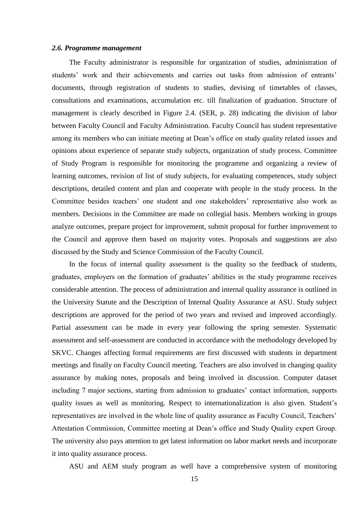#### <span id="page-14-0"></span>*2.6. Programme management*

The Faculty administrator is responsible for organization of studies, administration of students' work and their achievements and carries out tasks from admission of entrants' documents, through registration of students to studies, devising of timetables of classes, consultations and examinations, accumulation etc. till finalization of graduation. Structure of management is clearly described in Figure 2.4. (SER, p. 28) indicating the division of labor between Faculty Council and Faculty Administration. Faculty Council has student representative among its members who can initiate meeting at Dean's office on study quality related issues and opinions about experience of separate study subjects, organization of study process. Committee of Study Program is responsible for monitoring the programme and organizing a review of learning outcomes, revision of list of study subjects, for evaluating competences, study subject descriptions, detailed content and plan and cooperate with people in the study process. In the Committee besides teachers' one student and one stakeholders' representative also work as members. Decisions in the Committee are made on collegial basis. Members working in groups analyze outcomes, prepare project for improvement, submit proposal for further improvement to the Council and approve them based on majority votes. Proposals and suggestions are also discussed by the Study and Science Commission of the Faculty Council.

In the focus of internal quality assessment is the quality so the feedback of students, graduates, employers on the formation of graduates' abilities in the study programme receives considerable attention. The process of administration and internal quality assurance is outlined in the University Statute and the Description of Internal Quality Assurance at ASU. Study subject descriptions are approved for the period of two years and revised and improved accordingly. Partial assessment can be made in every year following the spring semester. Systematic assessment and self-assessment are conducted in accordance with the methodology developed by SKVC. Changes affecting formal requirements are first discussed with students in department meetings and finally on Faculty Council meeting. Teachers are also involved in changing quality assurance by making notes, proposals and being involved in discussion. Computer dataset including 7 major sections, starting from admission to graduates' contact information, supports quality issues as well as monitoring. Respect to internationalization is also given. Student's representatives are involved in the whole line of quality assurance as Faculty Council, Teachers' Attestation Commission, Committee meeting at Dean's office and Study Quality expert Group. The university also pays attention to get latest information on labor market needs and incorporate it into quality assurance process.

ASU and AEM study program as well have a comprehensive system of monitoring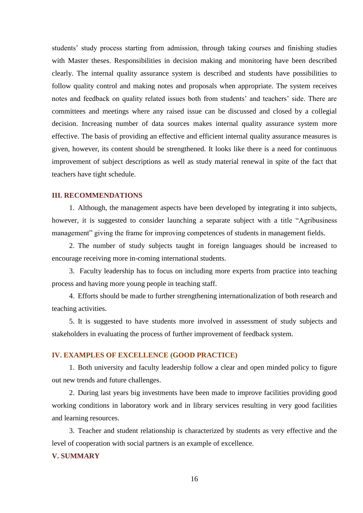students' study process starting from admission, through taking courses and finishing studies with Master theses. Responsibilities in decision making and monitoring have been described clearly. The internal quality assurance system is described and students have possibilities to follow quality control and making notes and proposals when appropriate. The system receives notes and feedback on quality related issues both from students' and teachers' side. There are committees and meetings where any raised issue can be discussed and closed by a collegial decision. Increasing number of data sources makes internal quality assurance system more effective. The basis of providing an effective and efficient internal quality assurance measures is given, however, its content should be strengthened. It looks like there is a need for continuous improvement of subject descriptions as well as study material renewal in spite of the fact that teachers have tight schedule.

#### <span id="page-15-0"></span>**III. RECOMMENDATIONS**

1. Although, the management aspects have been developed by integrating it into subjects, however, it is suggested to consider launching a separate subject with a title "Agribusiness management" giving the frame for improving competences of students in management fields.

2. The number of study subjects taught in foreign languages should be increased to encourage receiving more in-coming international students.

3. Faculty leadership has to focus on including more experts from practice into teaching process and having more young people in teaching staff.

4. Efforts should be made to further strengthening internationalization of both research and teaching activities.

5. It is suggested to have students more involved in assessment of study subjects and stakeholders in evaluating the process of further improvement of feedback system.

### <span id="page-15-1"></span>**IV. EXAMPLES OF EXCELLENCE (GOOD PRACTICE)**

1. Both university and faculty leadership follow a clear and open minded policy to figure out new trends and future challenges.

2. During last years big investments have been made to improve facilities providing good working conditions in laboratory work and in library services resulting in very good facilities and learning resources.

3. Teacher and student relationship is characterized by students as very effective and the level of cooperation with social partners is an example of excellence.

## <span id="page-15-2"></span>**V. SUMMARY**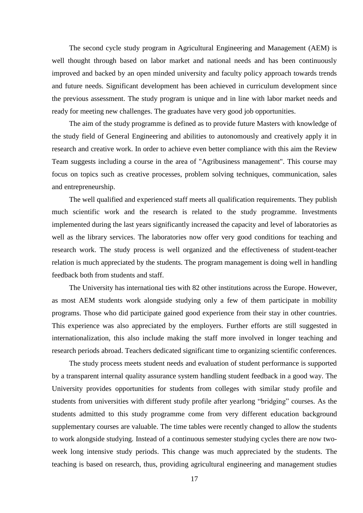The second cycle study program in Agricultural Engineering and Management (AEM) is well thought through based on labor market and national needs and has been continuously improved and backed by an open minded university and faculty policy approach towards trends and future needs. Significant development has been achieved in curriculum development since the previous assessment. The study program is unique and in line with labor market needs and ready for meeting new challenges. The graduates have very good job opportunities.

The aim of the study programme is defined as to provide future Masters with knowledge of the study field of General Engineering and abilities to autonomously and creatively apply it in research and creative work. In order to achieve even better compliance with this aim the Review Team suggests including a course in the area of "Agribusiness management". This course may focus on topics such as creative processes, problem solving techniques, communication, sales and entrepreneurship.

The well qualified and experienced staff meets all qualification requirements. They publish much scientific work and the research is related to the study programme. Investments implemented during the last years significantly increased the capacity and level of laboratories as well as the library services. The laboratories now offer very good conditions for teaching and research work. The study process is well organized and the effectiveness of student-teacher relation is much appreciated by the students. The program management is doing well in handling feedback both from students and staff.

The University has international ties with 82 other institutions across the Europe. However, as most AEM students work alongside studying only a few of them participate in mobility programs. Those who did participate gained good experience from their stay in other countries. This experience was also appreciated by the employers. Further efforts are still suggested in internationalization, this also include making the staff more involved in longer teaching and research periods abroad. Teachers dedicated significant time to organizing scientific conferences.

The study process meets student needs and evaluation of student performance is supported by a transparent internal quality assurance system handling student feedback in a good way. The University provides opportunities for students from colleges with similar study profile and students from universities with different study profile after yearlong "bridging" courses. As the students admitted to this study programme come from very different education background supplementary courses are valuable. The time tables were recently changed to allow the students to work alongside studying. Instead of a continuous semester studying cycles there are now twoweek long intensive study periods. This change was much appreciated by the students. The teaching is based on research, thus, providing agricultural engineering and management studies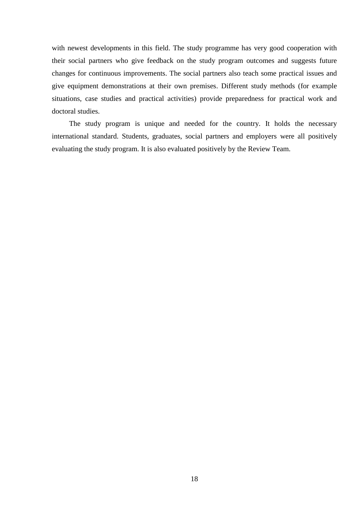with newest developments in this field. The study programme has very good cooperation with their social partners who give feedback on the study program outcomes and suggests future changes for continuous improvements. The social partners also teach some practical issues and give equipment demonstrations at their own premises. Different study methods (for example situations, case studies and practical activities) provide preparedness for practical work and doctoral studies.

The study program is unique and needed for the country. It holds the necessary international standard. Students, graduates, social partners and employers were all positively evaluating the study program. It is also evaluated positively by the Review Team.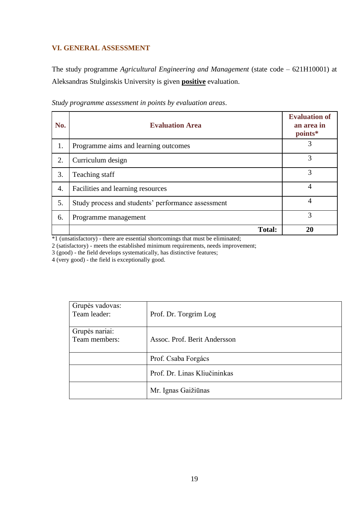# <span id="page-18-0"></span>**VI. GENERAL ASSESSMENT**

The study programme *Agricultural Engineering and Management* (state code – 621H10001) at Aleksandras Stulginskis University is given **positive** evaluation.

| No. | <b>Evaluation Area</b>                             | <b>Evaluation of</b><br>an area in<br>points* |
|-----|----------------------------------------------------|-----------------------------------------------|
| 1.  | Programme aims and learning outcomes               | 3                                             |
| 2.  | Curriculum design                                  | 3                                             |
| 3.  | Teaching staff                                     | 3                                             |
| 4.  | Facilities and learning resources                  | 4                                             |
| 5.  | Study process and students' performance assessment | 4                                             |
| 6.  | Programme management                               | 3                                             |
|     | <b>Total:</b>                                      | 20                                            |

*Study programme assessment in points by evaluation areas*.

\*1 (unsatisfactory) - there are essential shortcomings that must be eliminated;

2 (satisfactory) - meets the established minimum requirements, needs improvement;

3 (good) - the field develops systematically, has distinctive features;

4 (very good) - the field is exceptionally good.

| Grupės vadovas:<br>Team leader: | Prof. Dr. Torgrim Log        |
|---------------------------------|------------------------------|
| Grupės nariai:                  |                              |
| Team members:                   | Assoc. Prof. Berit Andersson |
|                                 |                              |
|                                 |                              |
|                                 | Prof. Csaba Forgács          |
|                                 |                              |
|                                 | Prof. Dr. Linas Kliučininkas |
|                                 |                              |
|                                 |                              |
|                                 | Mr. Ignas Gaižiūnas          |
|                                 |                              |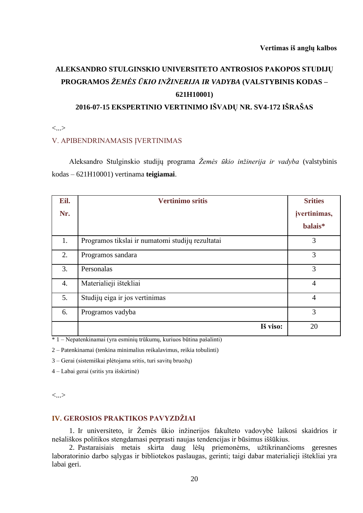# **ALEKSANDRO STULGINSKIO UNIVERSITETO ANTROSIOS PAKOPOS STUDIJŲ PROGRAMOS** *ŽEMĖS ŪKIO INŽINERIJA IR VADYBA* **(VALSTYBINIS KODAS – 621H10001)**

# **2016-07-15 EKSPERTINIO VERTINIMO IŠVADŲ NR. SV4-172 IŠRAŠAS**

<...>

## V. APIBENDRINAMASIS ĮVERTINIMAS

Aleksandro Stulginskio studijų programa *Žemės ūkio inžinerija ir vadyba* (valstybinis kodas – 621H10001) vertinama **teigiamai**.

| Eil. | <b>Vertinimo sritis</b>                          | <b>Srities</b> |
|------|--------------------------------------------------|----------------|
| Nr.  |                                                  | jvertinimas,   |
|      |                                                  | balais*        |
| 1.   | Programos tikslai ir numatomi studijų rezultatai | 3              |
| 2.   | Programos sandara                                | 3              |
| 3.   | Personalas                                       | 3              |
| 4.   | Materialieji ištekliai                           | $\overline{4}$ |
| 5.   | Studijų eiga ir jos vertinimas                   | $\overline{4}$ |
| 6.   | Programos vadyba                                 | 3              |
|      | Iš viso:                                         | 20             |

\* 1 – Nepatenkinamai (yra esminių trūkumų, kuriuos būtina pašalinti)

2 – Patenkinamai (tenkina minimalius reikalavimus, reikia tobulinti)

3 – Gerai (sistemiškai plėtojama sritis, turi savitų bruožų)

4 – Labai gerai (sritis yra išskirtinė)

<...>

# **IV. GEROSIOS PRAKTIKOS PAVYZDŽIAI**

1. Ir universiteto, ir Žemės ūkio inžinerijos fakulteto vadovybė laikosi skaidrios ir nešališkos politikos stengdamasi perprasti naujas tendencijas ir būsimus iššūkius.

2. Pastaraisiais metais skirta daug lėšų priemonėms, užtikrinančioms geresnes laboratorinio darbo sąlygas ir bibliotekos paslaugas, gerinti; taigi dabar materialieji ištekliai yra labai geri.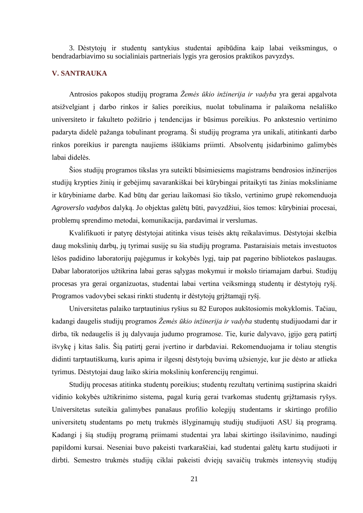3. Dėstytojų ir studentų santykius studentai apibūdina kaip labai veiksmingus, o bendradarbiavimo su socialiniais partneriais lygis yra gerosios praktikos pavyzdys.

## **V. SANTRAUKA**

Antrosios pakopos studijų programa *Žemės ūkio inžinerija ir vadyba* yra gerai apgalvota atsižvelgiant į darbo rinkos ir šalies poreikius, nuolat tobulinama ir palaikoma nešališko universiteto ir fakulteto požiūrio į tendencijas ir būsimus poreikius. Po ankstesnio vertinimo padaryta didelė pažanga tobulinant programą. Ši studijų programa yra unikali, atitinkanti darbo rinkos poreikius ir parengta naujiems iššūkiams priimti. Absolventų įsidarbinimo galimybės labai didelės.

Šios studijų programos tikslas yra suteikti būsimiesiems magistrams bendrosios inžinerijos studijų krypties žinių ir gebėjimų savarankiškai bei kūrybingai pritaikyti tas žinias moksliniame ir kūrybiniame darbe. Kad būtų dar geriau laikomasi šio tikslo, vertinimo grupė rekomenduoja *Agroverslo vadybos* dalyką. Jo objektas galėtų būti, pavyzdžiui, šios temos: kūrybiniai procesai, problemų sprendimo metodai, komunikacija, pardavimai ir verslumas.

Kvalifikuoti ir patyrę dėstytojai atitinka visus teisės aktų reikalavimus. Dėstytojai skelbia daug mokslinių darbų, jų tyrimai susiję su šia studijų programa. Pastaraisiais metais investuotos lėšos padidino laboratorijų pajėgumus ir kokybės lygį, taip pat pagerino bibliotekos paslaugas. Dabar laboratorijos užtikrina labai geras sąlygas mokymui ir mokslo tiriamajam darbui. Studijų procesas yra gerai organizuotas, studentai labai vertina veiksmingą studentų ir dėstytojų ryšį. Programos vadovybei sekasi rinkti studentų ir dėstytojų grįžtamąjį ryšį.

Universitetas palaiko tarptautinius ryšius su 82 Europos aukštosiomis mokyklomis. Tačiau, kadangi daugelis studijų programos *Žemės ūkio inžinerija ir vadyba* studentų studijuodami dar ir dirba, tik nedaugelis iš jų dalyvauja judumo programose. Tie, kurie dalyvavo, įgijo gerą patirtį išvykę į kitas šalis. Šią patirtį gerai įvertino ir darbdaviai. Rekomenduojama ir toliau stengtis didinti tarptautiškumą, kuris apima ir ilgesnį dėstytojų buvimą užsienyje, kur jie dėsto ar atlieka tyrimus. Dėstytojai daug laiko skiria mokslinių konferencijų rengimui.

Studijų procesas atitinka studentų poreikius; studentų rezultatų vertinimą sustiprina skaidri vidinio kokybės užtikrinimo sistema, pagal kurią gerai tvarkomas studentų grįžtamasis ryšys. Universitetas suteikia galimybes panašaus profilio kolegijų studentams ir skirtingo profilio universitetų studentams po metų trukmės išlyginamųjų studijų studijuoti ASU šią programą. Kadangi į šią studijų programą priimami studentai yra labai skirtingo išsilavinimo, naudingi papildomi kursai. Neseniai buvo pakeisti tvarkaraščiai, kad studentai galėtų kartu studijuoti ir dirbti. Semestro trukmės studijų ciklai pakeisti dviejų savaičių trukmės intensyvių studijų